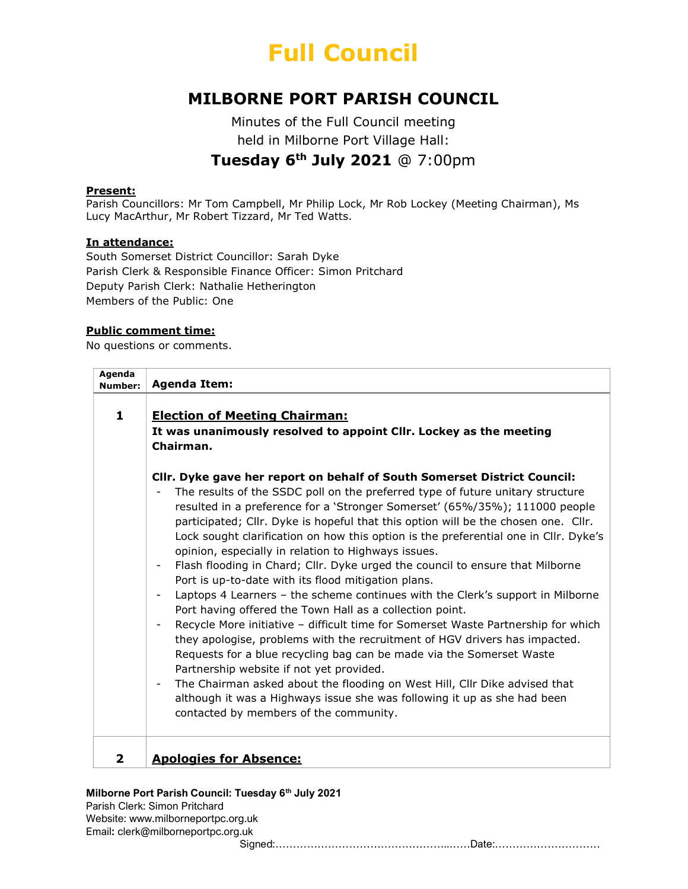# Full Council

# MILBORNE PORT PARISH COUNCIL

Minutes of the Full Council meeting held in Milborne Port Village Hall: Tuesday 6<sup>th</sup> July 2021 @ 7:00pm

#### Present:

Parish Councillors: Mr Tom Campbell, Mr Philip Lock, Mr Rob Lockey (Meeting Chairman), Ms Lucy MacArthur, Mr Robert Tizzard, Mr Ted Watts.

#### In attendance:

South Somerset District Councillor: Sarah Dyke Parish Clerk & Responsible Finance Officer: Simon Pritchard Deputy Parish Clerk: Nathalie Hetherington Members of the Public: One

# Public comment time:

No questions or comments.

| Agenda<br><b>Number:</b> | <b>Agenda Item:</b>                                                                                                                                                                                                                                                                                                                                                                                                                                                                                                                                                                                                                                                                                                                                                                                                                                                                                                                                                                                                                                                                                                                                                                                                                                                                         |  |
|--------------------------|---------------------------------------------------------------------------------------------------------------------------------------------------------------------------------------------------------------------------------------------------------------------------------------------------------------------------------------------------------------------------------------------------------------------------------------------------------------------------------------------------------------------------------------------------------------------------------------------------------------------------------------------------------------------------------------------------------------------------------------------------------------------------------------------------------------------------------------------------------------------------------------------------------------------------------------------------------------------------------------------------------------------------------------------------------------------------------------------------------------------------------------------------------------------------------------------------------------------------------------------------------------------------------------------|--|
| $\mathbf{1}$             | <b>Election of Meeting Chairman:</b><br>It was unanimously resolved to appoint Cllr. Lockey as the meeting<br>Chairman.                                                                                                                                                                                                                                                                                                                                                                                                                                                                                                                                                                                                                                                                                                                                                                                                                                                                                                                                                                                                                                                                                                                                                                     |  |
|                          | CIIr. Dyke gave her report on behalf of South Somerset District Council:<br>The results of the SSDC poll on the preferred type of future unitary structure<br>resulted in a preference for a 'Stronger Somerset' (65%/35%); 111000 people<br>participated; Cllr. Dyke is hopeful that this option will be the chosen one. Cllr.<br>Lock sought clarification on how this option is the preferential one in Cllr. Dyke's<br>opinion, especially in relation to Highways issues.<br>Flash flooding in Chard; Cllr. Dyke urged the council to ensure that Milborne<br>Port is up-to-date with its flood mitigation plans.<br>Laptops 4 Learners - the scheme continues with the Clerk's support in Milborne<br>$\overline{\phantom{a}}$<br>Port having offered the Town Hall as a collection point.<br>Recycle More initiative - difficult time for Somerset Waste Partnership for which<br>they apologise, problems with the recruitment of HGV drivers has impacted.<br>Requests for a blue recycling bag can be made via the Somerset Waste<br>Partnership website if not yet provided.<br>The Chairman asked about the flooding on West Hill, Cllr Dike advised that<br>although it was a Highways issue she was following it up as she had been<br>contacted by members of the community. |  |
| 2                        | <b>Apologies for Absence:</b>                                                                                                                                                                                                                                                                                                                                                                                                                                                                                                                                                                                                                                                                                                                                                                                                                                                                                                                                                                                                                                                                                                                                                                                                                                                               |  |

### Milborne Port Parish Council: Tuesday 6<sup>th</sup> July 2021

Parish Clerk: Simon Pritchard Website: www.milborneportpc.org.uk Email: clerk@milborneportpc.org.uk Signed:…………………………………………..……Date:…………………………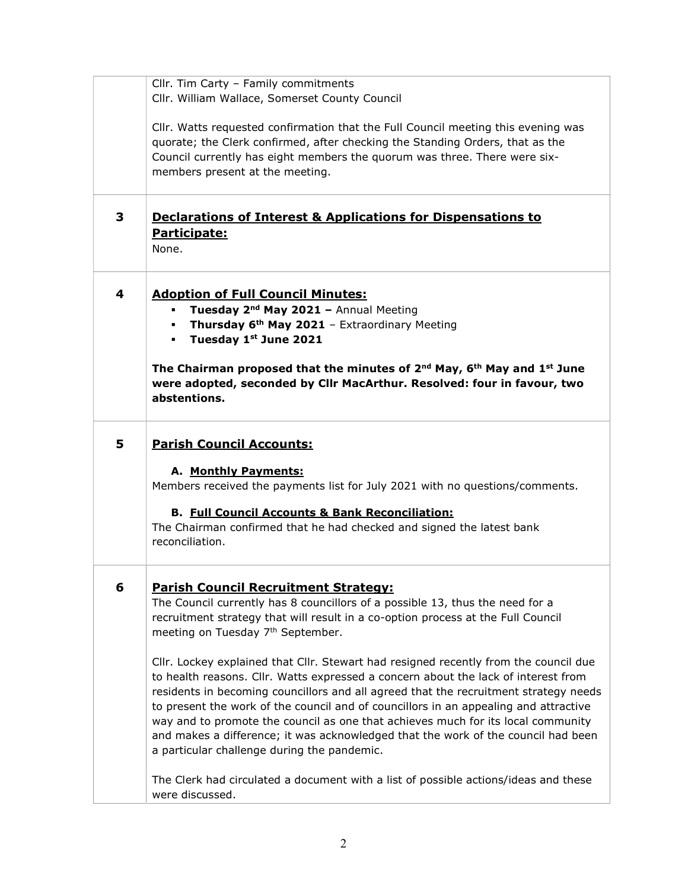|   | Cllr. Tim Carty - Family commitments<br>Cllr. William Wallace, Somerset County Council                                                                                                                                                                                                                                                                                                                                                                                                                                                                                                                                                                                                                                                                                                                                                                                                                                                         |
|---|------------------------------------------------------------------------------------------------------------------------------------------------------------------------------------------------------------------------------------------------------------------------------------------------------------------------------------------------------------------------------------------------------------------------------------------------------------------------------------------------------------------------------------------------------------------------------------------------------------------------------------------------------------------------------------------------------------------------------------------------------------------------------------------------------------------------------------------------------------------------------------------------------------------------------------------------|
|   | CIIr. Watts requested confirmation that the Full Council meeting this evening was<br>quorate; the Clerk confirmed, after checking the Standing Orders, that as the<br>Council currently has eight members the guorum was three. There were six-<br>members present at the meeting.                                                                                                                                                                                                                                                                                                                                                                                                                                                                                                                                                                                                                                                             |
| 3 | <b>Declarations of Interest &amp; Applications for Dispensations to</b><br>Participate:<br>None.                                                                                                                                                                                                                                                                                                                                                                                                                                                                                                                                                                                                                                                                                                                                                                                                                                               |
| 4 | <b>Adoption of Full Council Minutes:</b><br>Tuesday 2 <sup>nd</sup> May 2021 - Annual Meeting<br>Thursday 6 <sup>th</sup> May 2021 - Extraordinary Meeting<br>$\mathbf{r}$<br>• Tuesday 1st June 2021<br>The Chairman proposed that the minutes of $2^{nd}$ May, 6 <sup>th</sup> May and 1 <sup>st</sup> June<br>were adopted, seconded by Cllr MacArthur. Resolved: four in favour, two<br>abstentions.                                                                                                                                                                                                                                                                                                                                                                                                                                                                                                                                       |
| 5 | <b>Parish Council Accounts:</b><br>A. Monthly Payments:<br>Members received the payments list for July 2021 with no questions/comments.<br><b>B. Full Council Accounts &amp; Bank Reconciliation:</b><br>The Chairman confirmed that he had checked and signed the latest bank<br>reconciliation.                                                                                                                                                                                                                                                                                                                                                                                                                                                                                                                                                                                                                                              |
| 6 | <b>Parish Council Recruitment Strategy:</b><br>The Council currently has 8 councillors of a possible 13, thus the need for a<br>recruitment strategy that will result in a co-option process at the Full Council<br>meeting on Tuesday 7 <sup>th</sup> September.<br>Cllr. Lockey explained that Cllr. Stewart had resigned recently from the council due<br>to health reasons. Cllr. Watts expressed a concern about the lack of interest from<br>residents in becoming councillors and all agreed that the recruitment strategy needs<br>to present the work of the council and of councillors in an appealing and attractive<br>way and to promote the council as one that achieves much for its local community<br>and makes a difference; it was acknowledged that the work of the council had been<br>a particular challenge during the pandemic.<br>The Clerk had circulated a document with a list of possible actions/ideas and these |
|   | were discussed.                                                                                                                                                                                                                                                                                                                                                                                                                                                                                                                                                                                                                                                                                                                                                                                                                                                                                                                                |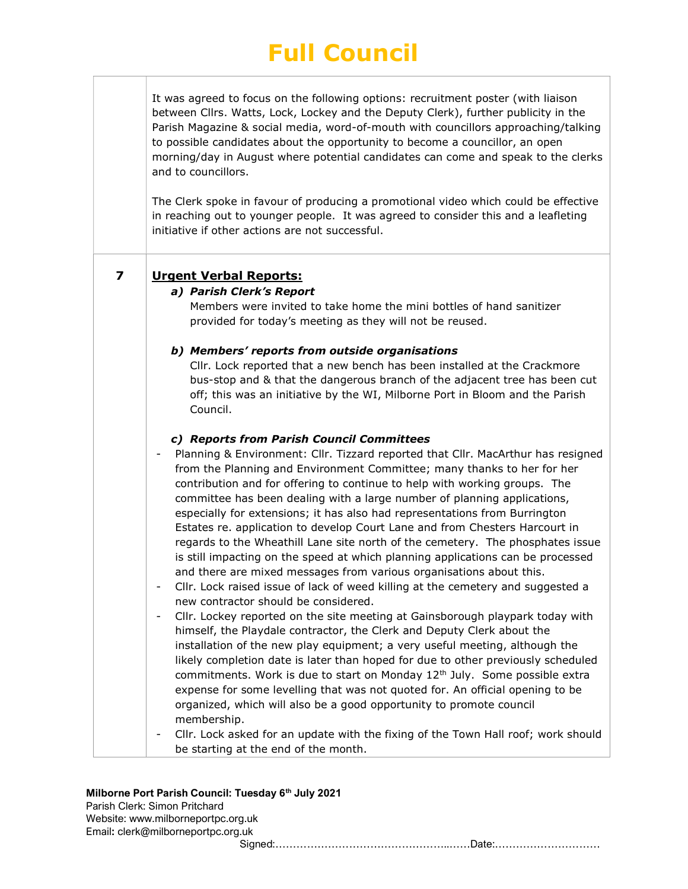# Full Council

| It was agreed to focus on the following options: recruitment poster (with liaison  |  |  |
|------------------------------------------------------------------------------------|--|--|
| between Cllrs. Watts, Lock, Lockey and the Deputy Clerk), further publicity in the |  |  |
| Parish Magazine & social media, word-of-mouth with councillors approaching/talking |  |  |
| to possible candidates about the opportunity to become a councillor, an open       |  |  |
| morning/day in August where potential candidates can come and speak to the clerks  |  |  |
| and to councillors.                                                                |  |  |

The Clerk spoke in favour of producing a promotional video which could be effective in reaching out to younger people. It was agreed to consider this and a leafleting initiative if other actions are not successful.

# a) Parish Clerk's Report

Members were invited to take home the mini bottles of hand sanitizer provided for today's meeting as they will not be reused.

# b) Members' reports from outside organisations

Cllr. Lock reported that a new bench has been installed at the Crackmore bus-stop and & that the dangerous branch of the adjacent tree has been cut off; this was an initiative by the WI, Milborne Port in Bloom and the Parish Council.

# c) Reports from Parish Council Committees

- Planning & Environment: Cllr. Tizzard reported that Cllr. MacArthur has resigned from the Planning and Environment Committee; many thanks to her for her contribution and for offering to continue to help with working groups. The committee has been dealing with a large number of planning applications, especially for extensions; it has also had representations from Burrington Estates re. application to develop Court Lane and from Chesters Harcourt in regards to the Wheathill Lane site north of the cemetery. The phosphates issue is still impacting on the speed at which planning applications can be processed and there are mixed messages from various organisations about this.
- Cllr. Lock raised issue of lack of weed killing at the cemetery and suggested a new contractor should be considered.
- Cllr. Lockey reported on the site meeting at Gainsborough playpark today with himself, the Playdale contractor, the Clerk and Deputy Clerk about the installation of the new play equipment; a very useful meeting, although the likely completion date is later than hoped for due to other previously scheduled commitments. Work is due to start on Monday 12<sup>th</sup> July. Some possible extra expense for some levelling that was not quoted for. An official opening to be organized, which will also be a good opportunity to promote council membership.
- Cllr. Lock asked for an update with the fixing of the Town Hall roof; work should be starting at the end of the month.

# Milborne Port Parish Council: Tuesday 6<sup>th</sup> July 2021

| Parish Clerk: Simon Pritchard      |  |
|------------------------------------|--|
| Website: www.milborneportpc.org.uk |  |
| Email: clerk@milborneportpc.org.uk |  |
|                                    |  |